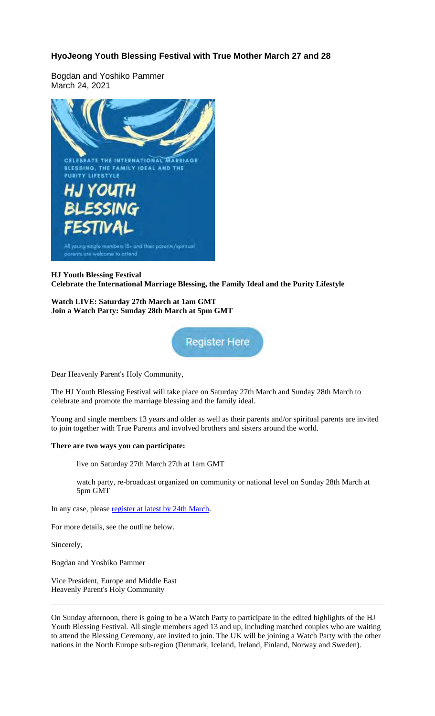# **HyoJeong Youth Blessing Festival with True Mother March 27 and 28**

Bogdan and Yoshiko Pammer March 24, 2021



## **HJ Youth Blessing Festival Celebrate the International Marriage Blessing, the Family Ideal and the Purity Lifestyle**

**Watch LIVE: Saturday 27th March at 1am GMT Join a Watch Party: Sunday 28th March at 5pm GMT**



Dear Heavenly Parent's Holy Community,

The HJ Youth Blessing Festival will take place on Saturday 27th March and Sunday 28th March to celebrate and promote the marriage blessing and the family ideal.

Young and single members 13 years and older as well as their parents and/or spiritual parents are invited to join together with True Parents and involved brothers and sisters around the world.

### **There are two ways you can participate:**

live on Saturday 27th March 27th at 1am GMT

watch party, re-broadcast organized on community or national level on Sunday 28th March at 5pm GMT

In any case, please register at latest by 24th March.

For more details, see the outline below.

Sincerely,

Bogdan and Yoshiko Pammer

Vice President, Europe and Middle East Heavenly Parent's Holy Community

On Sunday afternoon, there is going to be a Watch Party to participate in the edited highlights of the HJ Youth Blessing Festival. All single members aged 13 and up, including matched couples who are waiting to attend the Blessing Ceremony, are invited to join. The UK will be joining a Watch Party with the other nations in the North Europe sub-region (Denmark, Iceland, Ireland, Finland, Norway and Sweden).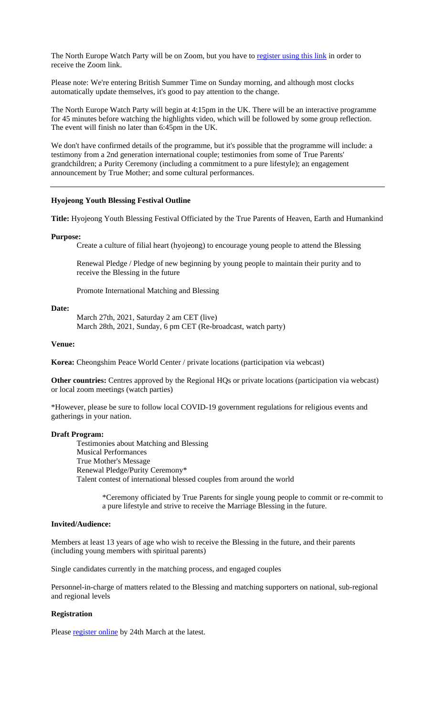The North Europe Watch Party will be on Zoom, but you have to register using this link in order to receive the Zoom link.

Please note: We're entering British Summer Time on Sunday morning, and although most clocks automatically update themselves, it's good to pay attention to the change.

The North Europe Watch Party will begin at 4:15pm in the UK. There will be an interactive programme for 45 minutes before watching the highlights video, which will be followed by some group reflection. The event will finish no later than 6:45pm in the UK.

We don't have confirmed details of the programme, but it's possible that the programme will include: a testimony from a 2nd generation international couple; testimonies from some of True Parents' grandchildren; a Purity Ceremony (including a commitment to a pure lifestyle); an engagement announcement by True Mother; and some cultural performances.

#### **Hyojeong Youth Blessing Festival Outline**

**Title:** Hyojeong Youth Blessing Festival Officiated by the True Parents of Heaven, Earth and Humankind

#### **Purpose:**

Create a culture of filial heart (hyojeong) to encourage young people to attend the Blessing

Renewal Pledge / Pledge of new beginning by young people to maintain their purity and to receive the Blessing in the future

Promote International Matching and Blessing

#### **Date:**

March 27th, 2021, Saturday 2 am CET (live) March 28th, 2021, Sunday, 6 pm CET (Re-broadcast, watch party)

#### **Venue:**

**Korea:** Cheongshim Peace World Center / private locations (participation via webcast)

**Other countries:** Centres approved by the Regional HQs or private locations (participation via webcast) or local zoom meetings (watch parties)

\*However, please be sure to follow local COVID-19 government regulations for religious events and gatherings in your nation.

## **Draft Program:**

Testimonies about Matching and Blessing Musical Performances True Mother's Message Renewal Pledge/Purity Ceremony\* Talent contest of international blessed couples from around the world

> \*Ceremony officiated by True Parents for single young people to commit or re-commit to a pure lifestyle and strive to receive the Marriage Blessing in the future.

#### **Invited/Audience:**

Members at least 13 years of age who wish to receive the Blessing in the future, and their parents (including young members with spiritual parents)

Single candidates currently in the matching process, and engaged couples

Personnel-in-charge of matters related to the Blessing and matching supporters on national, sub-regional and regional levels

#### **Registration**

Please register online by 24th March at the latest.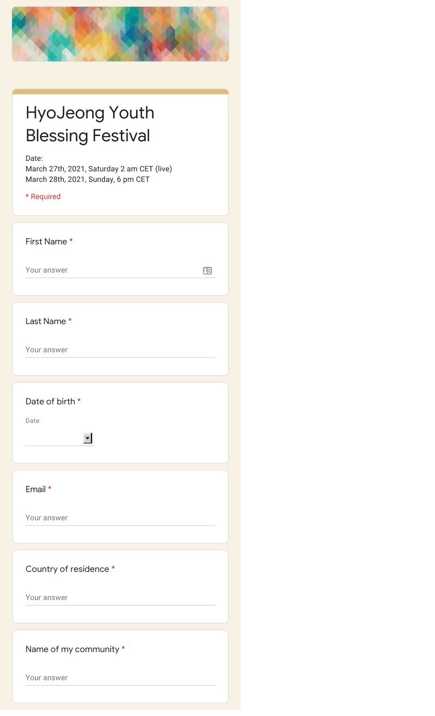

| <b>HyoJeong Youth</b>    |
|--------------------------|
| <b>Blessing Festival</b> |

Date:

March 27th, 2021, Saturday 2 am CET (live) March 28th, 2021, Sunday, 6 pm CET

\* Required

First Name \*

Your answer

 $\equiv$ 

Last Name \*

Your answer

Date of birth \*

 $\blacksquare$ 

Date

Email \*

Your answer

Country of residence \*

Your answer

Name of my community \*

Your answer